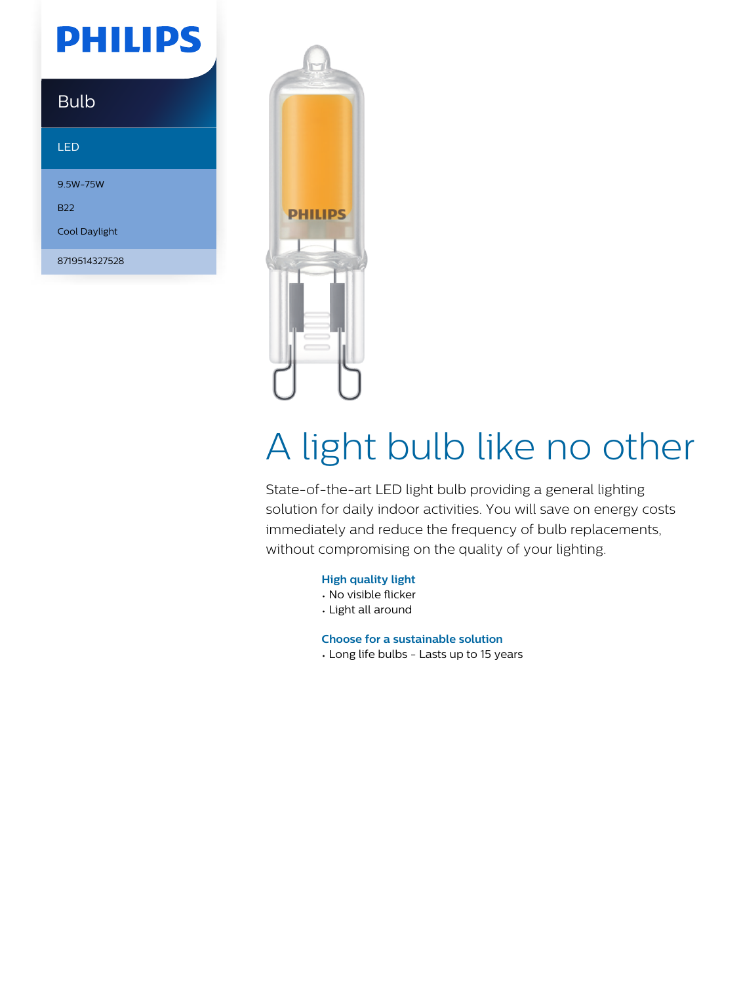# **PHILIPS**

### Bulb

#### LED

9.5W-75W B22 Cool Daylight

8719514327528



# A light bulb like no other

State-of-the-art LED light bulb providing a general lighting solution for daily indoor activities. You will save on energy costs immediately and reduce the frequency of bulb replacements, without compromising on the quality of your lighting.

#### **High quality light**

- No visible flicker
- Light all around

**Choose for a sustainable solution**

• Long life bulbs - Lasts up to 15 years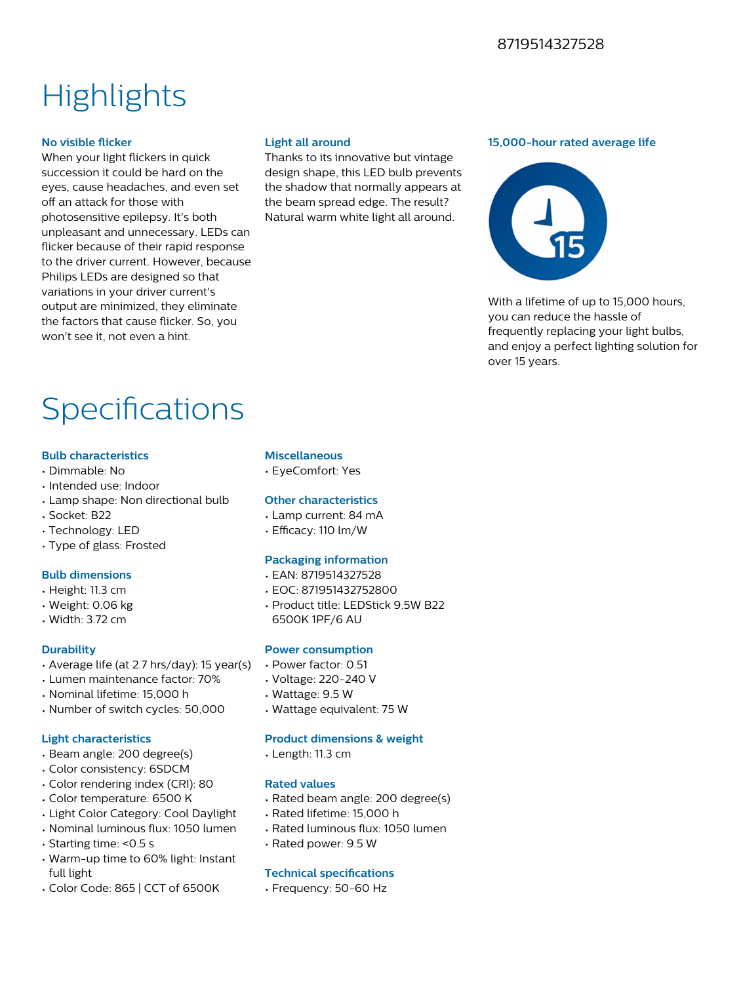### 8719514327528

# **Highlights**

#### **No visible flicker**

When your light flickers in quick succession it could be hard on the eyes, cause headaches, and even set off an attack for those with photosensitive epilepsy. It's both unpleasant and unnecessary. LEDs can flicker because of their rapid response to the driver current. However, because Philips LEDs are designed so that variations in your driver current's output are minimized, they eliminate the factors that cause flicker. So, you won't see it, not even a hint.

#### **Light all around**

Thanks to its innovative but vintage design shape, this LED bulb prevents the shadow that normally appears at the beam spread edge. The result? Natural warm white light all around.

#### **15,000-hour rated average life**



With a lifetime of up to 15,000 hours. you can reduce the hassle of frequently replacing your light bulbs, and enjoy a perfect lighting solution for over 15 years.

## Specifications

#### **Bulb characteristics**

- Dimmable: No
- Intended use: Indoor
- Lamp shape: Non directional bulb
- Socket: B22
- Technology: LED
- Type of glass: Frosted

#### **Bulb dimensions**

- Height: 11.3 cm
- Weight: 0.06 kg
- Width: 3.72 cm

#### **Durability**

- Average life (at 2.7 hrs/day): 15 year(s)
- Lumen maintenance factor: 70%
- Nominal lifetime: 15,000 h
- Number of switch cycles: 50,000

#### **Light characteristics**

- Beam angle: 200 degree(s)
- Color consistency: 6SDCM
- Color rendering index (CRI): 80
- Color temperature: 6500 K
- Light Color Category: Cool Daylight
- Nominal luminous flux: 1050 lumen
- Starting time: <0.5 s
- Warm-up time to 60% light: Instant full light
- Color Code: 865 | CCT of 6500K

#### **Miscellaneous**

• EyeComfort: Yes

#### **Other characteristics**

- Lamp current: 84 mA
- $\cdot$  Efficacy: 110 lm/W

#### **Packaging information**

- EAN: 8719514327528
- EOC: 871951432752800
- Product title: LEDStick 9.5W B22 6500K 1PF/6 AU

#### **Power consumption**

- Power factor: 0.51
- Voltage: 220-240 V
- Wattage: 9.5 W
- Wattage equivalent: 75 W

#### **Product dimensions & weight**

• Length: 11.3 cm

#### **Rated values**

- Rated beam angle: 200 degree(s)
- Rated lifetime: 15,000 h
- Rated luminous flux: 1050 lumen
- Rated power: 9.5 W

#### **Technical specifications**

• Frequency: 50-60 Hz